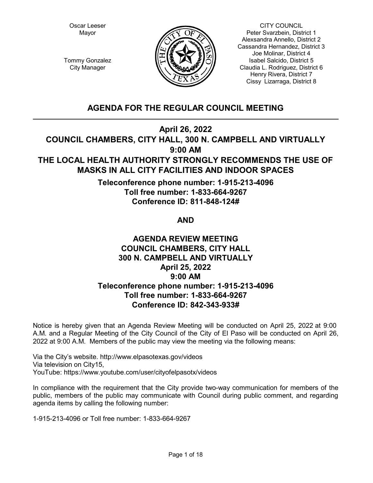Oscar Leeser Mayor



CITY COUNCIL Peter Svarzbein, District 1 Alexsandra Annello, District 2 Cassandra Hernandez, District 3 Joe Molinar, District 4 Isabel Salcido, District 5 Claudia L. Rodriguez, District 6 Henry Rivera, District 7 Cissy Lizarraga, District 8

Tommy Gonzalez City Manager

# **AGENDA FOR THE REGULAR COUNCIL MEETING**

**April 26, 2022**

**COUNCIL CHAMBERS, CITY HALL, 300 N. CAMPBELL AND VIRTUALLY 9:00 AM**

# **THE LOCAL HEALTH AUTHORITY STRONGLY RECOMMENDS THE USE OF MASKS IN ALL CITY FACILITIES AND INDOOR SPACES**

**Teleconference phone number: 1-915-213-4096 Toll free number: 1-833-664-9267 Conference ID: 811-848-124#** 

# **AND**

# **AGENDA REVIEW MEETING COUNCIL CHAMBERS, CITY HALL 300 N. CAMPBELL AND VIRTUALLY April 25, 2022 9:00 AM Teleconference phone number: 1-915-213-4096 Toll free number: 1-833-664-9267 Conference ID: 842-343-933#**

Notice is hereby given that an Agenda Review Meeting will be conducted on April 25, 2022 at 9:00 A.M. and a Regular Meeting of the City Council of the City of El Paso will be conducted on April 26, 2022 at 9:00 A.M. Members of the public may view the meeting via the following means:

Via the City's website. http://www.elpasotexas.gov/videos Via television on City15, YouTube: https://www.youtube.com/user/cityofelpasotx/videos

In compliance with the requirement that the City provide two-way communication for members of the public, members of the public may communicate with Council during public comment, and regarding agenda items by calling the following number:

1-915-213-4096 or Toll free number: 1-833-664-9267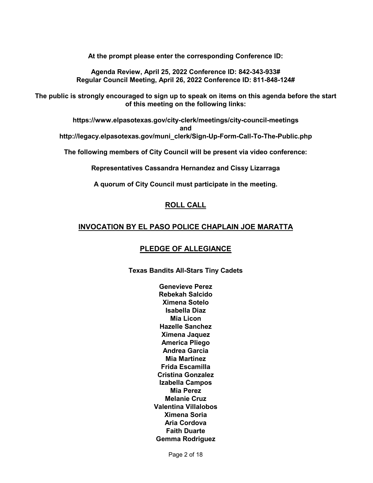**At the prompt please enter the corresponding Conference ID:**

**Agenda Review, April 25, 2022 Conference ID: 842-343-933# Regular Council Meeting, April 26, 2022 Conference ID: 811-848-124#** 

**The public is strongly encouraged to sign up to speak on items on this agenda before the start of this meeting on the following links:**

**https://www.elpasotexas.gov/city-clerk/meetings/city-council-meetings**

**and**

**http://legacy.elpasotexas.gov/muni\_clerk/Sign-Up-Form-Call-To-The-Public.php**

**The following members of City Council will be present via video conference:**

**Representatives Cassandra Hernandez and Cissy Lizarraga**

**A quorum of City Council must participate in the meeting.**

# **ROLL CALL**

# **INVOCATION BY EL PASO POLICE CHAPLAIN JOE MARATTA**

# **PLEDGE OF ALLEGIANCE**

**Texas Bandits All-Stars Tiny Cadets**

**Genevieve Perez Rebekah Salcido Ximena Sotelo Isabella Diaz Mia Licon Hazelle Sanchez Ximena Jaquez America Pliego Andrea Garcia Mia Martinez Frida Escamilla Cristina Gonzalez Izabella Campos Mia Perez Melanie Cruz Valentina Villalobos Ximena Soria Aria Cordova Faith Duarte Gemma Rodriguez**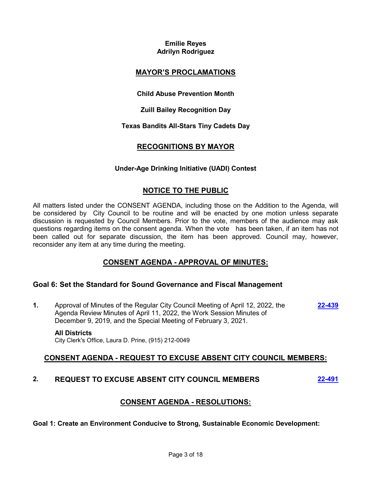## **Emilie Reyes Adrilyn Rodriguez**

# **MAYOR'S PROCLAMATIONS**

**Child Abuse Prevention Month**

**Zuill Bailey Recognition Day**

**Texas Bandits All-Stars Tiny Cadets Day**

# **RECOGNITIONS BY MAYOR**

## **Under-Age Drinking Initiative (UADI) Contest**

# **NOTICE TO THE PUBLIC**

All matters listed under the CONSENT AGENDA, including those on the Addition to the Agenda, will be considered by City Council to be routine and will be enacted by one motion unless separate discussion is requested by Council Members. Prior to the vote, members of the audience may ask questions regarding items on the consent agenda. When the vote has been taken, if an item has not been called out for separate discussion, the item has been approved. Council may, however, reconsider any item at any time during the meeting.

# **CONSENT AGENDA - APPROVAL OF MINUTES:**

# **Goal 6: Set the Standard for Sound Governance and Fiscal Management**

**1.** Approval of Minutes of the Regular City Council Meeting of April 12, 2022, the Agenda Review Minutes of April 11, 2022, the Work Session Minutes of December 9, 2019, and the Special Meeting of February 3, 2021. **[22-439](http://elpasotexas.legistar.com/gateway.aspx?m=l&id=/matter.aspx?key=6903)**

### **All Districts**

City Clerk's Office, Laura D. Prine, (915) 212-0049

# **CONSENT AGENDA - REQUEST TO EXCUSE ABSENT CITY COUNCIL MEMBERS:**

# **2. REQUEST TO EXCUSE ABSENT CITY COUNCIL MEMBERS [22-491](http://elpasotexas.legistar.com/gateway.aspx?m=l&id=/matter.aspx?key=6955)**

# **CONSENT AGENDA - RESOLUTIONS:**

**Goal 1: Create an Environment Conducive to Strong, Sustainable Economic Development:**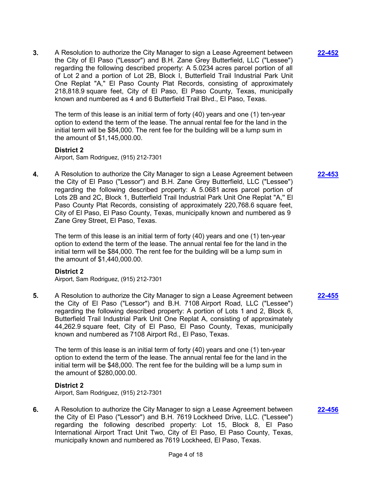**3.** A Resolution to authorize the City Manager to sign a Lease Agreement between the City of El Paso ("Lessor") and B.H. Zane Grey Butterfield, LLC ("Lessee") regarding the following described property: A 5.0234 acres parcel portion of all of Lot 2 and a portion of Lot 2B, Block I, Butterfield Trail Industrial Park Unit One Replat "A," El Paso County Plat Records, consisting of approximately 218,818.9 square feet, City of El Paso, El Paso County, Texas, municipally known and numbered as 4 and 6 Butterfield Trail Blvd., El Paso, Texas.

The term of this lease is an initial term of forty (40) years and one (1) ten-year option to extend the term of the lease. The annual rental fee for the land in the initial term will be \$84,000. The rent fee for the building will be a lump sum in the amount of \$1,145,000.00.

### **District 2**

Airport, Sam Rodriguez, (915) 212-7301

**4.** A Resolution to authorize the City Manager to sign a Lease Agreement between the City of El Paso ("Lessor") and B.H. Zane Grey Butterfield, LLC ("Lessee") regarding the following described property: A 5.0681 acres parcel portion of Lots 2B and 2C, Block 1, Butterfield Trail Industrial Park Unit One Replat "A,'' El Paso County Plat Records, consisting of approximately 220,768.6 square feet, City of El Paso, El Paso County, Texas, municipally known and numbered as 9 Zane Grey Street, El Paso, Texas.

The term of this lease is an initial term of forty (40) years and one (1) ten-year option to extend the term of the lease. The annual rental fee for the land in the initial term will be \$84,000. The rent fee for the building will be a lump sum in the amount of \$1,440,000.00.

### **District 2**

Airport, Sam Rodriguez, (915) 212-7301

**5.** A Resolution to authorize the City Manager to sign a Lease Agreement between the City of El Paso ("Lessor") and B.H. 7108 Airport Road, LLC ("Lessee") regarding the following described property: A portion of Lots 1 and 2, Block 6, Butterfield Trail Industrial Park Unit One Replat A, consisting of approximately 44,262.9 square feet, City of El Paso, El Paso County, Texas, municipally known and numbered as 7108 Airport Rd., El Paso, Texas.

The term of this lease is an initial term of forty (40) years and one (1) ten-year option to extend the term of the lease. The annual rental fee for the land in the initial term will be \$48,000. The rent fee for the building will be a lump sum in the amount of \$280,000.00.

### **District 2**

Airport, Sam Rodriguez, (915) 212-7301

**6.** A Resolution to authorize the City Manager to sign a Lease Agreement between the City of El Paso ("Lessor") and B.H. 7619 Lockheed Drive, LLC. ("Lessee") regarding the following described property: Lot 15, Block 8, El Paso International Airport Tract Unit Two, City of El Paso, El Paso County, Texas, municipally known and numbered as 7619 Lockheed, El Paso, Texas.

**[22-453](http://elpasotexas.legistar.com/gateway.aspx?m=l&id=/matter.aspx?key=6917)**

**[22-452](http://elpasotexas.legistar.com/gateway.aspx?m=l&id=/matter.aspx?key=6916)**

**[22-455](http://elpasotexas.legistar.com/gateway.aspx?m=l&id=/matter.aspx?key=6919)**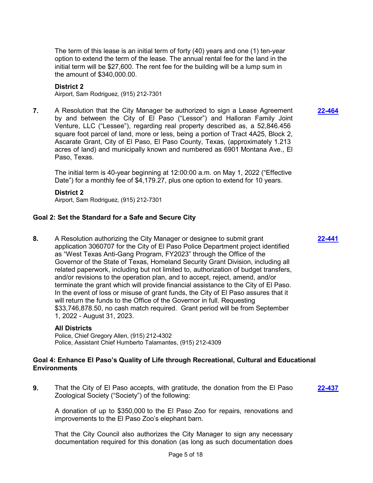The term of this lease is an initial term of forty (40) years and one (1) ten-year option to extend the term of the lease. The annual rental fee for the land in the initial term will be \$27,600. The rent fee for the building will be a lump sum in the amount of \$340,000.00.

### **District 2**

Airport, Sam Rodriguez, (915) 212-7301

**7.** A Resolution that the City Manager be authorized to sign a Lease Agreement by and between the City of El Paso ("Lessor") and Halloran Family Joint Venture, LLC ("Lessee"), regarding real property described as, a 52,846.456 square foot parcel of land, more or less, being a portion of Tract 4A25, Block 2, Ascarate Grant, City of El Paso, El Paso County, Texas, (approximately 1.213 acres of land) and municipally known and numbered as 6901 Montana Ave., El Paso, Texas.

The initial term is 40-year beginning at 12:00:00 a.m. on May 1, 2022 ("Effective Date") for a monthly fee of \$4,179.27, plus one option to extend for 10 years.

**District 2** Airport, Sam Rodriguez, (915) 212-7301

### **Goal 2: Set the Standard for a Safe and Secure City**

**8.** A Resolution authorizing the City Manager or designee to submit grant application 3060707 for the City of El Paso Police Department project identified as "West Texas Anti-Gang Program, FY2023" through the Office of the Governor of the State of Texas, Homeland Security Grant Division, including all related paperwork, including but not limited to, authorization of budget transfers, and/or revisions to the operation plan, and to accept, reject, amend, and/or terminate the grant which will provide financial assistance to the City of El Paso. In the event of loss or misuse of grant funds, the City of El Paso assures that it will return the funds to the Office of the Governor in full. Requesting \$33,746,878.50, no cash match required. Grant period will be from September 1, 2022 - August 31, 2023.

### **All Districts**

Police, Chief Gregory Allen, (915) 212-4302 Police, Assistant Chief Humberto Talamantes, (915) 212-4309

### **Goal 4: Enhance El Paso's Quality of Life through Recreational, Cultural and Educational Environments**

**9.** That the City of El Paso accepts, with gratitude, the donation from the El Paso Zoological Society ("Society") of the following: **[22-437](http://elpasotexas.legistar.com/gateway.aspx?m=l&id=/matter.aspx?key=6901)**

A donation of up to \$350,000 to the El Paso Zoo for repairs, renovations and improvements to the El Paso Zoo's elephant barn.

That the City Council also authorizes the City Manager to sign any necessary documentation required for this donation (as long as such documentation does **[22-464](http://elpasotexas.legistar.com/gateway.aspx?m=l&id=/matter.aspx?key=6928)**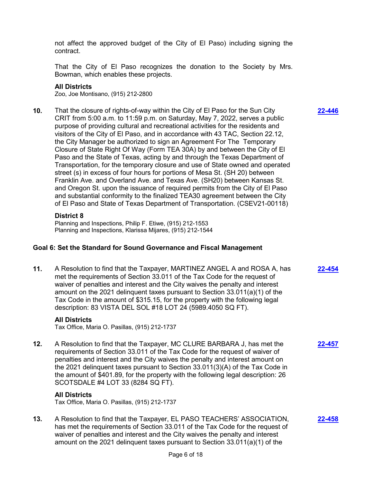not affect the approved budget of the City of El Paso) including signing the contract.

That the City of El Paso recognizes the donation to the Society by Mrs. Bowman, which enables these projects.

### **All Districts**

Zoo, Joe Montisano, (915) 212-2800

**10.** That the closure of rights-of-way within the City of El Paso for the Sun City CRIT from 5:00 a.m. to 11:59 p.m. on Saturday, May 7, 2022, serves a public purpose of providing cultural and recreational activities for the residents and visitors of the City of El Paso, and in accordance with 43 TAC, Section 22.12, the City Manager be authorized to sign an Agreement For The Temporary Closure of State Right Of Way (Form TEA 30A) by and between the City of El Paso and the State of Texas, acting by and through the Texas Department of Transportation, for the temporary closure and use of State owned and operated street (s) in excess of four hours for portions of Mesa St. (SH 20) between Franklin Ave. and Overland Ave. and Texas Ave. (SH20) between Kansas St. and Oregon St. upon the issuance of required permits from the City of El Paso and substantial conformity to the finalized TEA30 agreement between the City of El Paso and State of Texas Department of Transportation. (CSEV21-00118)

### **District 8**

Planning and Inspections, Philip F. Etiwe, (915) 212-1553 Planning and Inspections, Klarissa Mijares, (915) 212-1544

### **Goal 6: Set the Standard for Sound Governance and Fiscal Management**

**11.** A Resolution to find that the Taxpayer, MARTINEZ ANGEL A and ROSA A, has met the requirements of Section 33.011 of the Tax Code for the request of waiver of penalties and interest and the City waives the penalty and interest amount on the 2021 delinquent taxes pursuant to Section 33.011(a)(1) of the Tax Code in the amount of \$315.15, for the property with the following legal description: 83 VISTA DEL SOL #18 LOT 24 (5989.4050 SQ FT). **[22-454](http://elpasotexas.legistar.com/gateway.aspx?m=l&id=/matter.aspx?key=6918)**

### **All Districts**

Tax Office, Maria O. Pasillas, (915) 212-1737

**12.** A Resolution to find that the Taxpayer, MC CLURE BARBARA J, has met the requirements of Section 33.011 of the Tax Code for the request of waiver of penalties and interest and the City waives the penalty and interest amount on the 2021 delinquent taxes pursuant to Section 33.011(3)(A) of the Tax Code in the amount of \$401.89, for the property with the following legal description: 26 SCOTSDALE #4 LOT 33 (8284 SQ FT).

### **All Districts**

Tax Office, Maria O. Pasillas, (915) 212-1737

**13.** A Resolution to find that the Taxpayer, EL PASO TEACHERS' ASSOCIATION, has met the requirements of Section 33.011 of the Tax Code for the request of waiver of penalties and interest and the City waives the penalty and interest amount on the 2021 delinquent taxes pursuant to Section 33.011(a)(1) of the

**[22-446](http://elpasotexas.legistar.com/gateway.aspx?m=l&id=/matter.aspx?key=6910)**

**[22-457](http://elpasotexas.legistar.com/gateway.aspx?m=l&id=/matter.aspx?key=6921)**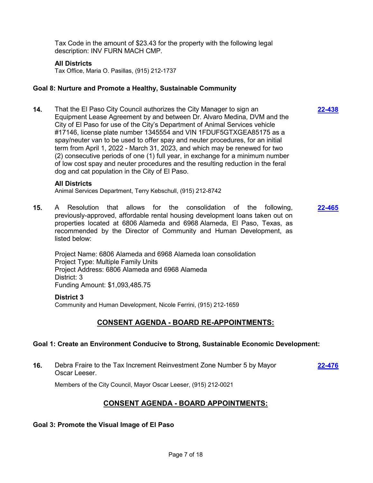Tax Code in the amount of \$23.43 for the property with the following legal description: INV FURN MACH CMP.

### **All Districts**

Tax Office, Maria O. Pasillas, (915) 212-1737

### **Goal 8: Nurture and Promote a Healthy, Sustainable Community**

**14.** That the El Paso City Council authorizes the City Manager to sign an Equipment Lease Agreement by and between Dr. Alvaro Medina, DVM and the City of El Paso for use of the City's Department of Animal Services vehicle #17146, license plate number 1345554 and VIN 1FDUF5GTXGEA85175 as a spay/neuter van to be used to offer spay and neuter procedures, for an initial term from April 1, 2022 - March 31, 2023, and which may be renewed for two (2) consecutive periods of one (1) full year, in exchange for a minimum number of low cost spay and neuter procedures and the resulting reduction in the feral dog and cat population in the City of El Paso.

**[22-438](http://elpasotexas.legistar.com/gateway.aspx?m=l&id=/matter.aspx?key=6902)**

#### **All Districts**

Animal Services Department, Terry Kebschull, (915) 212-8742

**15.** A Resolution that allows for the consolidation of the following, previously-approved, affordable rental housing development loans taken out on properties located at 6806 Alameda and 6968 Alameda, El Paso, Texas, as recommended by the Director of Community and Human Development, as listed below: **[22-465](http://elpasotexas.legistar.com/gateway.aspx?m=l&id=/matter.aspx?key=6929)**

Project Name: 6806 Alameda and 6968 Alameda loan consolidation Project Type: Multiple Family Units Project Address: 6806 Alameda and 6968 Alameda District: 3 Funding Amount: \$1,093,485.75

#### **District 3**

Community and Human Development, Nicole Ferrini, (915) 212-1659

### **CONSENT AGENDA - BOARD RE-APPOINTMENTS:**

### **Goal 1: Create an Environment Conducive to Strong, Sustainable Economic Development:**

**16.** Debra Fraire to the Tax Increment Reinvestment Zone Number 5 by Mayor Oscar Leeser. **[22-476](http://elpasotexas.legistar.com/gateway.aspx?m=l&id=/matter.aspx?key=6940)**

Members of the City Council, Mayor Oscar Leeser, (915) 212-0021

# **CONSENT AGENDA - BOARD APPOINTMENTS:**

### **Goal 3: Promote the Visual Image of El Paso**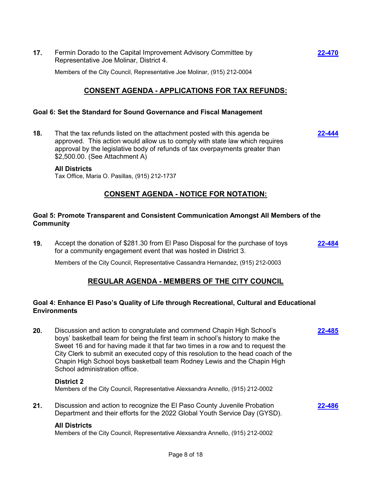**17.** Fermin Dorado to the Capital Improvement Advisory Committee by Representative Joe Molinar, District 4.

Members of the City Council, Representative Joe Molinar, (915) 212-0004

# **CONSENT AGENDA - APPLICATIONS FOR TAX REFUNDS:**

### **Goal 6: Set the Standard for Sound Governance and Fiscal Management**

**18.** That the tax refunds listed on the attachment posted with this agenda be approved. This action would allow us to comply with state law which requires approval by the legislative body of refunds of tax overpayments greater than \$2,500.00. (See Attachment A)

**All Districts**

Tax Office, Maria O. Pasillas, (915) 212-1737

# **CONSENT AGENDA - NOTICE FOR NOTATION:**

### **Goal 5: Promote Transparent and Consistent Communication Amongst All Members of the Community**

**19.** Accept the donation of \$281.30 from El Paso Disposal for the purchase of toys for a community engagement event that was hosted in District 3. **[22-484](http://elpasotexas.legistar.com/gateway.aspx?m=l&id=/matter.aspx?key=6948)**

Members of the City Council, Representative Cassandra Hernandez, (915) 212-0003

# **REGULAR AGENDA - MEMBERS OF THE CITY COUNCIL**

## **Goal 4: Enhance El Paso's Quality of Life through Recreational, Cultural and Educational Environments**

**20.** Discussion and action to congratulate and commend Chapin High School's boys' basketball team for being the first team in school's history to make the Sweet 16 and for having made it that far two times in a row and to request the City Clerk to submit an executed copy of this resolution to the head coach of the Chapin High School boys basketball team Rodney Lewis and the Chapin High School administration office. **[22-485](http://elpasotexas.legistar.com/gateway.aspx?m=l&id=/matter.aspx?key=6949)**

### **District 2**

Members of the City Council, Representative Alexsandra Annello, (915) 212-0002

**21.** Discussion and action to recognize the El Paso County Juvenile Probation Department and their efforts for the 2022 Global Youth Service Day (GYSD).

### **All Districts**

Members of the City Council, Representative Alexsandra Annello, (915) 212-0002

**[22-470](http://elpasotexas.legistar.com/gateway.aspx?m=l&id=/matter.aspx?key=6934)**

**[22-444](http://elpasotexas.legistar.com/gateway.aspx?m=l&id=/matter.aspx?key=6908)**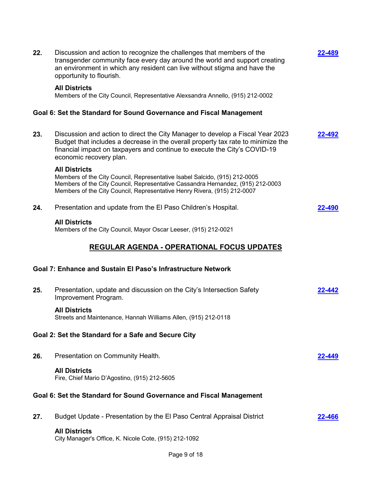| 22. | Discussion and action to recognize the challenges that members of the<br>transgender community face every day around the world and support creating<br>an environment in which any resident can live without stigma and have the<br>opportunity to flourish.               | 22-489        |
|-----|----------------------------------------------------------------------------------------------------------------------------------------------------------------------------------------------------------------------------------------------------------------------------|---------------|
|     | <b>All Districts</b><br>Members of the City Council, Representative Alexsandra Annello, (915) 212-0002                                                                                                                                                                     |               |
|     | Goal 6: Set the Standard for Sound Governance and Fiscal Management                                                                                                                                                                                                        |               |
| 23. | Discussion and action to direct the City Manager to develop a Fiscal Year 2023<br>Budget that includes a decrease in the overall property tax rate to minimize the<br>financial impact on taxpayers and continue to execute the City's COVID-19<br>economic recovery plan. | <u>22-492</u> |
|     | <b>All Districts</b><br>Members of the City Council, Representative Isabel Salcido, (915) 212-0005<br>Members of the City Council, Representative Cassandra Hernandez, (915) 212-0003<br>Members of the City Council, Representative Henry Rivera, (915) 212-0007          |               |
| 24. | Presentation and update from the El Paso Children's Hospital.                                                                                                                                                                                                              | 22-490        |
|     | <b>All Districts</b><br>Members of the City Council, Mayor Oscar Leeser, (915) 212-0021                                                                                                                                                                                    |               |
|     | REGULAR AGENDA - OPERATIONAL FOCUS UPDATES                                                                                                                                                                                                                                 |               |
|     | Goal 7: Enhance and Sustain El Paso's Infrastructure Network                                                                                                                                                                                                               |               |
| 25. | Presentation, update and discussion on the City's Intersection Safety<br>Improvement Program.                                                                                                                                                                              | 22-442        |
|     | <b>All Districts</b><br>Streets and Maintenance, Hannah Williams Allen, (915) 212-0118                                                                                                                                                                                     |               |
|     | Goal 2: Set the Standard for a Safe and Secure City                                                                                                                                                                                                                        |               |
| 26. | Presentation on Community Health.                                                                                                                                                                                                                                          | 22-449        |
|     | <b>All Districts</b><br>Fire, Chief Mario D'Agostino, (915) 212-5605                                                                                                                                                                                                       |               |
|     | Goal 6: Set the Standard for Sound Governance and Fiscal Management                                                                                                                                                                                                        |               |
| 27. | Budget Update - Presentation by the El Paso Central Appraisal District                                                                                                                                                                                                     | 22-466        |
|     | <b>All Districts</b><br>City Manager's Office, K. Nicole Cote, (915) 212-1092                                                                                                                                                                                              |               |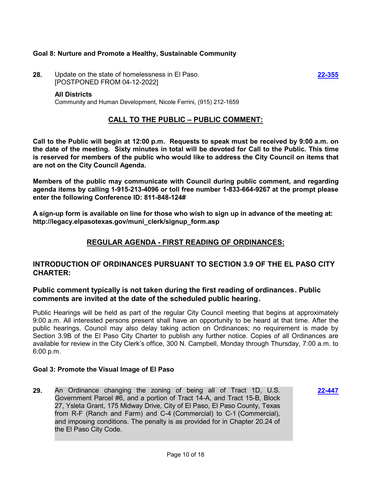## **Goal 8: Nurture and Promote a Healthy, Sustainable Community**

**28.** Update on the state of homelessness in El Paso. [POSTPONED FROM 04-12-2022]

#### **All Districts**

Community and Human Development, Nicole Ferrini, (915) 212-1659

## **CALL TO THE PUBLIC – PUBLIC COMMENT:**

**Call to the Public will begin at 12:00 p.m. Requests to speak must be received by 9:00 a.m. on the date of the meeting. Sixty minutes in total will be devoted for Call to the Public. This time is reserved for members of the public who would like to address the City Council on items that are not on the City Council Agenda.**

**Members of the public may communicate with Council during public comment, and regarding agenda items by calling 1-915-213-4096 or toll free number 1-833-664-9267 at the prompt please enter the following Conference ID: 811-848-124#** 

**A sign-up form is available on line for those who wish to sign up in advance of the meeting at: http://legacy.elpasotexas.gov/muni\_clerk/signup\_form.asp**

# **REGULAR AGENDA - FIRST READING OF ORDINANCES:**

# **INTRODUCTION OF ORDINANCES PURSUANT TO SECTION 3.9 OF THE EL PASO CITY CHARTER:**

## **Public comment typically is not taken during the first reading of ordinances. Public comments are invited at the date of the scheduled public hearing.**

Public Hearings will be held as part of the regular City Council meeting that begins at approximately 9:00 a.m. All interested persons present shall have an opportunity to be heard at that time. After the public hearings, Council may also delay taking action on Ordinances; no requirement is made by Section 3.9B of the El Paso City Charter to publish any further notice. Copies of all Ordinances are available for review in the City Clerk's office, 300 N. Campbell, Monday through Thursday, 7:00 a.m. to 6:00 p.m.

### **Goal 3: Promote the Visual Image of El Paso**

**29.** An Ordinance changing the zoning of being all of Tract 1D, U.S. Government Parcel #6, and a portion of Tract 14-A, and Tract 15-B, Block 27, Ysleta Grant, 175 Midway Drive, City of El Paso, El Paso County, Texas from R-F (Ranch and Farm) and C-4 (Commercial) to C-1 (Commercial), and imposing conditions. The penalty is as provided for in Chapter 20.24 of the El Paso City Code.

**[22-447](http://elpasotexas.legistar.com/gateway.aspx?m=l&id=/matter.aspx?key=6911)**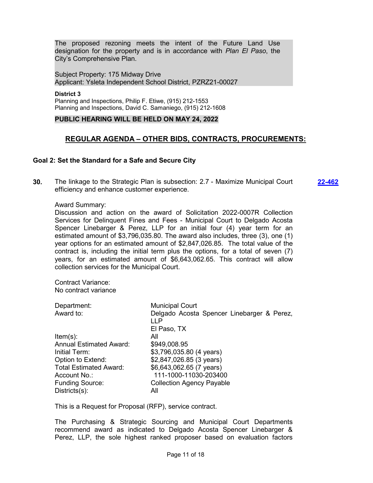The proposed rezoning meets the intent of the Future Land Use designation for the property and is in accordance with *Plan El Paso*, the City's Comprehensive Plan.

Subject Property: 175 Midway Drive Applicant: Ysleta Independent School District, PZRZ21-00027

**District 3** Planning and Inspections, Philip F. Etiwe, (915) 212-1553 Planning and Inspections, David C. Samaniego, (915) 212-1608

### **PUBLIC HEARING WILL BE HELD ON MAY 24, 2022**

# **REGULAR AGENDA – OTHER BIDS, CONTRACTS, PROCUREMENTS:**

### **Goal 2: Set the Standard for a Safe and Secure City**

**30.** The linkage to the Strategic Plan is subsection: 2.7 - Maximize Municipal Court efficiency and enhance customer experience. **[22-462](http://elpasotexas.legistar.com/gateway.aspx?m=l&id=/matter.aspx?key=6926)**

#### Award Summary:

Discussion and action on the award of Solicitation 2022-0007R Collection Services for Delinquent Fines and Fees - Municipal Court to Delgado Acosta Spencer Linebarger & Perez, LLP for an initial four (4) year term for an estimated amount of \$3,796,035.80. The award also includes, three (3), one (1) year options for an estimated amount of \$2,847,026.85. The total value of the contract is, including the initial term plus the options, for a total of seven (7) years, for an estimated amount of \$6,643,062.65. This contract will allow collection services for the Municipal Court.

Contract Variance: No contract variance

| Department:                    | <b>Municipal Court</b>                     |
|--------------------------------|--------------------------------------------|
| Award to:                      | Delgado Acosta Spencer Linebarger & Perez, |
|                                | LLP                                        |
|                                | El Paso, TX                                |
| $Item(s)$ :                    | All                                        |
| <b>Annual Estimated Award:</b> | \$949,008.95                               |
| Initial Term:                  | \$3,796,035.80 (4 years)                   |
| Option to Extend:              | \$2,847,026.85 (3 years)                   |
| <b>Total Estimated Award:</b>  | \$6,643,062.65 (7 years)                   |
| Account No.:                   | 111-1000-11030-203400                      |
| <b>Funding Source:</b>         | <b>Collection Agency Payable</b>           |
| $Disticts(s)$ :                | All                                        |

This is a Request for Proposal (RFP), service contract.

The Purchasing & Strategic Sourcing and Municipal Court Departments recommend award as indicated to Delgado Acosta Spencer Linebarger & Perez, LLP, the sole highest ranked proposer based on evaluation factors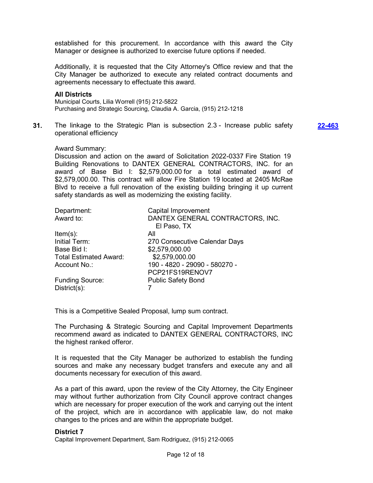established for this procurement. In accordance with this award the City Manager or designee is authorized to exercise future options if needed.

Additionally, it is requested that the City Attorney's Office review and that the City Manager be authorized to execute any related contract documents and agreements necessary to effectuate this award.

#### **All Districts**

Municipal Courts, Lilia Worrell (915) 212-5822 Purchasing and Strategic Sourcing, Claudia A. Garcia, (915) 212-1218

**31.** The linkage to the Strategic Plan is subsection 2.3 - Increase public safety operational efficiency

**[22-463](http://elpasotexas.legistar.com/gateway.aspx?m=l&id=/matter.aspx?key=6927)**

#### Award Summary:

Discussion and action on the award of Solicitation 2022-0337 Fire Station 19 Building Renovations to DANTEX GENERAL CONTRACTORS, INC. for an award of Base Bid I: \$2,579,000.00 for a total estimated award of \$2,579,000.00. This contract will allow Fire Station 19 located at 2405 McRae Blvd to receive a full renovation of the existing building bringing it up current safety standards as well as modernizing the existing facility.

| Capital Improvement<br>Department:                  |                                  |
|-----------------------------------------------------|----------------------------------|
| Award to:                                           | DANTEX GENERAL CONTRACTORS, INC. |
| El Paso, TX                                         |                                  |
| $Item(s)$ :<br>All                                  |                                  |
| Initial Term:                                       | 270 Consecutive Calendar Days    |
| Base Bid I:<br>\$2,579,000.00                       |                                  |
| \$2,579,000.00<br><b>Total Estimated Award:</b>     |                                  |
| Account No.:                                        | 190 - 4820 - 29090 - 580270 -    |
| PCP21FS19RENOV7                                     |                                  |
| <b>Funding Source:</b><br><b>Public Safety Bond</b> |                                  |
| $District(s)$ :                                     |                                  |

This is a Competitive Sealed Proposal, lump sum contract.

The Purchasing & Strategic Sourcing and Capital Improvement Departments recommend award as indicated to DANTEX GENERAL CONTRACTORS, INC the highest ranked offeror.

It is requested that the City Manager be authorized to establish the funding sources and make any necessary budget transfers and execute any and all documents necessary for execution of this award.

As a part of this award, upon the review of the City Attorney, the City Engineer may without further authorization from City Council approve contract changes which are necessary for proper execution of the work and carrying out the intent of the project, which are in accordance with applicable law, do not make changes to the prices and are within the appropriate budget.

#### **District 7**

Capital Improvement Department, Sam Rodriguez, (915) 212-0065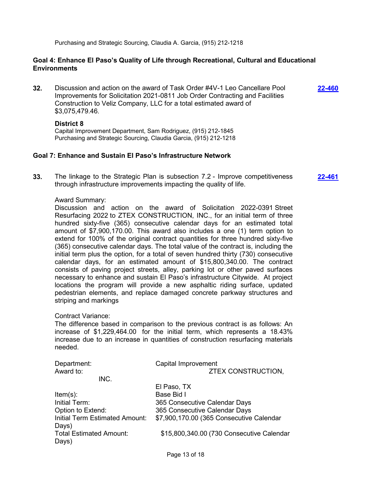Purchasing and Strategic Sourcing, Claudia A. Garcia, (915) 212-1218

### **Goal 4: Enhance El Paso's Quality of Life through Recreational, Cultural and Educational Environments**

**32.** Discussion and action on the award of Task Order #4V-1 Leo Cancellare Pool Improvements for Solicitation 2021-0811 Job Order Contracting and Facilities Construction to Veliz Company, LLC for a total estimated award of \$3,075,479.46.

**[22-460](http://elpasotexas.legistar.com/gateway.aspx?m=l&id=/matter.aspx?key=6924)**

### **District 8**

Capital Improvement Department, Sam Rodriguez, (915) 212-1845 Purchasing and Strategic Sourcing, Claudia Garcia, (915) 212-1218

### **Goal 7: Enhance and Sustain El Paso's Infrastructure Network**

**33.** The linkage to the Strategic Plan is subsection 7.2 - Improve competitiveness through infrastructure improvements impacting the quality of life. **[22-461](http://elpasotexas.legistar.com/gateway.aspx?m=l&id=/matter.aspx?key=6925)**

### Award Summary:

Discussion and action on the award of Solicitation 2022-0391 Street Resurfacing 2022 to ZTEX CONSTRUCTION, INC., for an initial term of three hundred sixty-five (365) consecutive calendar days for an estimated total amount of \$7,900,170.00. This award also includes a one (1) term option to extend for 100% of the original contract quantities for three hundred sixty-five (365) consecutive calendar days. The total value of the contract is, including the initial term plus the option, for a total of seven hundred thirty (730) consecutive calendar days, for an estimated amount of \$15,800,340.00. The contract consists of paving project streets, alley, parking lot or other paved surfaces necessary to enhance and sustain El Paso's infrastructure Citywide. At project locations the program will provide a new asphaltic riding surface, updated pedestrian elements, and replace damaged concrete parkway structures and striping and markings

### Contract Variance:

The difference based in comparison to the previous contract is as follows: An increase of \$1,229,464.00 for the initial term, which represents a 18.43% increase due to an increase in quantities of construction resurfacing materials needed.

| Department:                           | Capital Improvement                       |  |
|---------------------------------------|-------------------------------------------|--|
| Award to:                             | <b>ZTEX CONSTRUCTION,</b>                 |  |
| INC.                                  |                                           |  |
|                                       | El Paso, TX                               |  |
| $Item(s)$ :                           | Base Bid I                                |  |
| Initial Term:                         | 365 Consecutive Calendar Days             |  |
| Option to Extend:                     | 365 Consecutive Calendar Days             |  |
| <b>Initial Term Estimated Amount:</b> | \$7,900,170.00 (365 Consecutive Calendar  |  |
| Days)                                 |                                           |  |
| <b>Total Estimated Amount:</b>        | \$15,800,340.00 (730 Consecutive Calendar |  |
| Days)                                 |                                           |  |
|                                       |                                           |  |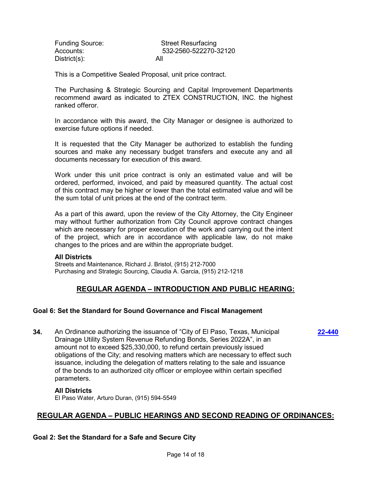| <b>Funding Source:</b> | <b>Street Resurfacing</b> |
|------------------------|---------------------------|
| Accounts:              | 532-2560-522270-32120     |
| $Distribt(s)$ :        | All                       |

This is a Competitive Sealed Proposal, unit price contract.

The Purchasing & Strategic Sourcing and Capital Improvement Departments recommend award as indicated to ZTEX CONSTRUCTION, INC. the highest ranked offeror.

In accordance with this award, the City Manager or designee is authorized to exercise future options if needed.

It is requested that the City Manager be authorized to establish the funding sources and make any necessary budget transfers and execute any and all documents necessary for execution of this award.

Work under this unit price contract is only an estimated value and will be ordered, performed, invoiced, and paid by measured quantity. The actual cost of this contract may be higher or lower than the total estimated value and will be the sum total of unit prices at the end of the contract term.

As a part of this award, upon the review of the City Attorney, the City Engineer may without further authorization from City Council approve contract changes which are necessary for proper execution of the work and carrying out the intent of the project, which are in accordance with applicable law, do not make changes to the prices and are within the appropriate budget.

#### **All Districts**

Streets and Maintenance, Richard J. Bristol, (915) 212-7000 Purchasing and Strategic Sourcing, Claudia A. Garcia, (915) 212-1218

# **REGULAR AGENDA – INTRODUCTION AND PUBLIC HEARING:**

**[22-440](http://elpasotexas.legistar.com/gateway.aspx?m=l&id=/matter.aspx?key=6904)**

### **Goal 6: Set the Standard for Sound Governance and Fiscal Management**

**34.** An Ordinance authorizing the issuance of "City of El Paso, Texas, Municipal Drainage Utility System Revenue Refunding Bonds, Series 2022A", in an amount not to exceed \$25,330,000, to refund certain previously issued obligations of the City; and resolving matters which are necessary to effect such issuance, including the delegation of matters relating to the sale and issuance of the bonds to an authorized city officer or employee within certain specified parameters.

#### **All Districts**

El Paso Water, Arturo Duran, (915) 594-5549

### **REGULAR AGENDA – PUBLIC HEARINGS AND SECOND READING OF ORDINANCES:**

**Goal 2: Set the Standard for a Safe and Secure City**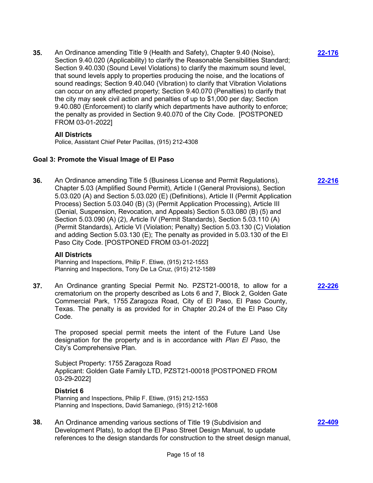**35.** An Ordinance amending Title 9 (Health and Safety), Chapter 9.40 (Noise), Section 9.40.020 (Applicability) to clarify the Reasonable Sensibilities Standard; Section 9.40.030 (Sound Level Violations) to clarify the maximum sound level, that sound levels apply to properties producing the noise, and the locations of sound readings; Section 9.40.040 (Vibration) to clarify that Vibration Violations can occur on any affected property; Section 9.40.070 (Penalties) to clarify that the city may seek civil action and penalties of up to \$1,000 per day; Section 9.40.080 (Enforcement) to clarify which departments have authority to enforce; the penalty as provided in Section 9.40.070 of the City Code. [POSTPONED FROM 03-01-2022]

### **All Districts**

Police, Assistant Chief Peter Pacillas, (915) 212-4308

### **Goal 3: Promote the Visual Image of El Paso**

**36.** An Ordinance amending Title 5 (Business License and Permit Regulations), Chapter 5.03 (Amplified Sound Permit), Article I (General Provisions), Section 5.03.020 (A) and Section 5.03.020 (E) (Definitions), Article II (Permit Application Process) Section 5.03.040 (B) (3) (Permit Application Processing), Article III (Denial, Suspension, Revocation, and Appeals) Section 5.03.080 (B) (5) and Section 5.03.090 (A) (2), Article IV (Permit Standards), Section 5.03.110 (A) (Permit Standards), Article VI (Violation; Penalty) Section 5.03.130 (C) Violation and adding Section 5.03.130 (E); The penalty as provided in 5.03.130 of the El Paso City Code. [POSTPONED FROM 03-01-2022]

### **All Districts**

Planning and Inspections, Philip F. Etiwe, (915) 212-1553 Planning and Inspections, Tony De La Cruz, (915) 212-1589

**37.** An Ordinance granting Special Permit No. PZST21-00018, to allow for a crematorium on the property described as Lots 6 and 7, Block 2, Golden Gate Commercial Park, 1755 Zaragoza Road, City of El Paso, El Paso County, Texas. The penalty is as provided for in Chapter 20.24 of the El Paso City Code.

The proposed special permit meets the intent of the Future Land Use designation for the property and is in accordance with *Plan El Paso*, the City's Comprehensive Plan.

Subject Property: 1755 Zaragoza Road Applicant: Golden Gate Family LTD, PZST21-00018 [POSTPONED FROM 03-29-2022]

### **District 6**

Planning and Inspections, Philip F. Etiwe, (915) 212-1553 Planning and Inspections, David Samaniego, (915) 212-1608

**38.** An Ordinance amending various sections of Title 19 (Subdivision and Development Plats), to adopt the El Paso Street Design Manual, to update references to the design standards for construction to the street design manual, **[22-176](http://elpasotexas.legistar.com/gateway.aspx?m=l&id=/matter.aspx?key=6640)**

**[22-216](http://elpasotexas.legistar.com/gateway.aspx?m=l&id=/matter.aspx?key=6680)**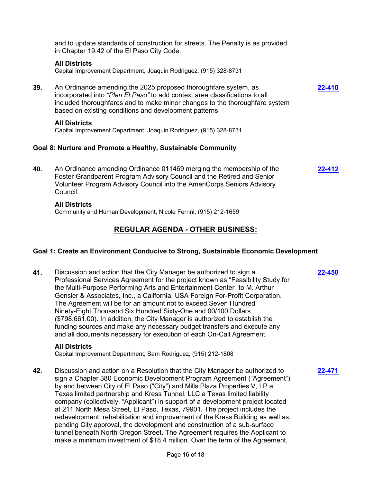|     | <b>REGULAR AGENDA - OTHER BUSINESS:</b>                                                                                                                                                                                                                                                               |               |
|-----|-------------------------------------------------------------------------------------------------------------------------------------------------------------------------------------------------------------------------------------------------------------------------------------------------------|---------------|
|     | <b>All Districts</b><br>Community and Human Development, Nicole Ferrini, (915) 212-1659                                                                                                                                                                                                               |               |
| 40. | Goal 8: Nurture and Promote a Healthy, Sustainable Community<br>An Ordinance amending Ordinance 011469 merging the membership of the<br>Foster Grandparent Program Advisory Council and the Retired and Senior<br>Volunteer Program Advisory Council into the AmeriCorps Seniors Advisory<br>Council. | 22-412        |
|     | <b>All Districts</b><br>Capital Improvement Department, Joaquin Rodriguez, (915) 328-8731                                                                                                                                                                                                             |               |
| 39. | An Ordinance amending the 2025 proposed thoroughfare system, as<br>incorporated into "Plan El Paso" to add context area classifications to all<br>included thoroughfares and to make minor changes to the thoroughfare system<br>based on existing conditions and development patterns.               | <u>22-410</u> |
|     | <b>All Districts</b><br>Capital Improvement Department, Joaquin Rodriguez, (915) 328-8731                                                                                                                                                                                                             |               |
|     | and to update standards of construction for streets. The Penalty is as provided<br>in Chapter 19.42 of the El Paso City Code.                                                                                                                                                                         |               |

### **Goal 1: Create an Environment Conducive to Strong, Sustainable Economic Development**

**41.** Discussion and action that the City Manager be authorized to sign a Professional Services Agreement for the project known as "Feasibility Study for the Multi-Purpose Performing Arts and Entertainment Center" to M. Arthur Gensler & Associates, Inc., a California, USA Foreign For-Profit Corporation. The Agreement will be for an amount not to exceed Seven Hundred Ninety-Eight Thousand Six Hundred Sixty-One and 00/100 Dollars (\$798,661.00). In addition, the City Manager is authorized to establish the funding sources and make any necessary budget transfers and execute any and all documents necessary for execution of each On-Call Agreement. **[22-450](http://elpasotexas.legistar.com/gateway.aspx?m=l&id=/matter.aspx?key=6914)**

**[22-471](http://elpasotexas.legistar.com/gateway.aspx?m=l&id=/matter.aspx?key=6935)**

### **All Districts**

Capital Improvement Department, Sam Rodriguez, (915) 212-1808

**42.** Discussion and action on a Resolution that the City Manager be authorized to sign a Chapter 380 Economic Development Program Agreement ("Agreement") by and between City of El Paso ("City") and Mills Plaza Properties V, LP a Texas limited partnership and Kress Tunnel, LLC a Texas limited liability company (collectively, "Applicant") in support of a development project located at 211 North Mesa Street, El Paso, Texas, 79901. The project includes the redevelopment, rehabilitation and improvement of the Kress Building as well as, pending City approval, the development and construction of a sub-surface tunnel beneath North Oregon Street. The Agreement requires the Applicant to make a minimum investment of \$18.4 million. Over the term of the Agreement,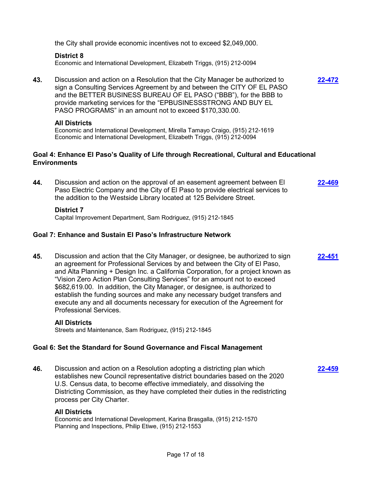the City shall provide economic incentives not to exceed \$2,049,000.

### **District 8**

Economic and International Development, Elizabeth Triggs, (915) 212-0094

**43.** Discussion and action on a Resolution that the City Manager be authorized to sign a Consulting Services Agreement by and between the CITY OF EL PASO and the BETTER BUSINESS BUREAU OF EL PASO ("BBB"), for the BBB to provide marketing services for the "EPBUSINESSSTRONG AND BUY EL PASO PROGRAMS" in an amount not to exceed \$170,330.00.

#### **All Districts**

Economic and International Development, Mirella Tamayo Craigo, (915) 212-1619 Economic and International Development, Elizabeth Triggs, (915) 212-0094

### **Goal 4: Enhance El Paso's Quality of Life through Recreational, Cultural and Educational Environments**

**44.** Discussion and action on the approval of an easement agreement between El Paso Electric Company and the City of El Paso to provide electrical services to the addition to the Westside Library located at 125 Belvidere Street. **[22-469](http://elpasotexas.legistar.com/gateway.aspx?m=l&id=/matter.aspx?key=6933)**

#### **District 7**

Capital Improvement Department, Sam Rodriguez, (915) 212-1845

### **Goal 7: Enhance and Sustain El Paso's Infrastructure Network**

**45.** Discussion and action that the City Manager, or designee, be authorized to sign an agreement for Professional Services by and between the City of El Paso, and Alta Planning + Design Inc. a California Corporation, for a project known as "Vision Zero Action Plan Consulting Services" for an amount not to exceed \$682,619.00. In addition, the City Manager, or designee, is authorized to establish the funding sources and make any necessary budget transfers and execute any and all documents necessary for execution of the Agreement for Professional Services.

#### **All Districts**

Streets and Maintenance, Sam Rodriguez, (915) 212-1845

### **Goal 6: Set the Standard for Sound Governance and Fiscal Management**

**46.** Discussion and action on a Resolution adopting a districting plan which establishes new Council representative district boundaries based on the 2020 U.S. Census data, to become effective immediately, and dissolving the Districting Commission, as they have completed their duties in the redistricting process per City Charter.

#### **All Districts**

Economic and International Development, Karina Brasgalla, (915) 212-1570 Planning and Inspections, Philip Etiwe, (915) 212-1553

**[22-472](http://elpasotexas.legistar.com/gateway.aspx?m=l&id=/matter.aspx?key=6936)**

**[22-459](http://elpasotexas.legistar.com/gateway.aspx?m=l&id=/matter.aspx?key=6923)**